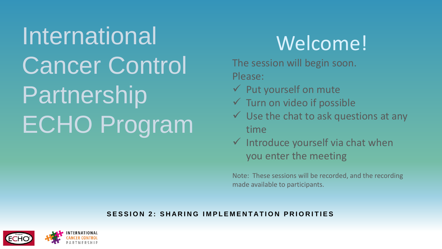International Cancer Control Partnership ECHO Program

# Welcome!

The session will begin soon. Please:

- $\checkmark$  Put yourself on mute
- $\checkmark$  Turn on video if possible
- $\checkmark$  Use the chat to ask questions at any time
- $\checkmark$  Introduce yourself via chat when you enter the meeting

Note: These sessions will be recorded, and the recording made available to participants.

#### **SESSION 2: SHARING IMPLEMENTATION PRIORITIES**

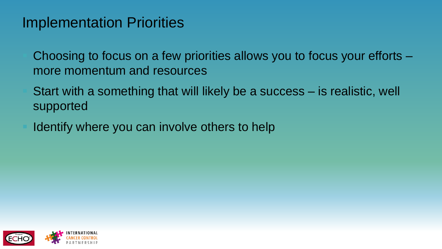#### Implementation Priorities

Choosing to focus on a few priorities allows you to focus your efforts – more momentum and resources

Start with a something that will likely be a success – is realistic, well supported

Identify where you can involve others to help

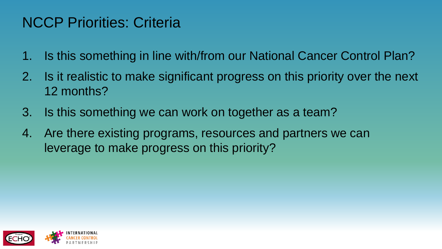### NCCP Priorities: Criteria

- 1. Is this something in line with/from our National Cancer Control Plan?
- 2. Is it realistic to make significant progress on this priority over the next 12 months?
- 3. Is this something we can work on together as a team?
- 4. Are there existing programs, resources and partners we can leverage to make progress on this priority?

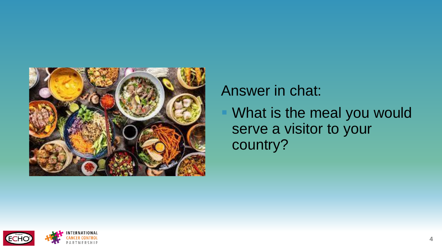

#### Answer in chat:

What is the meal you would serve a visitor to your country?